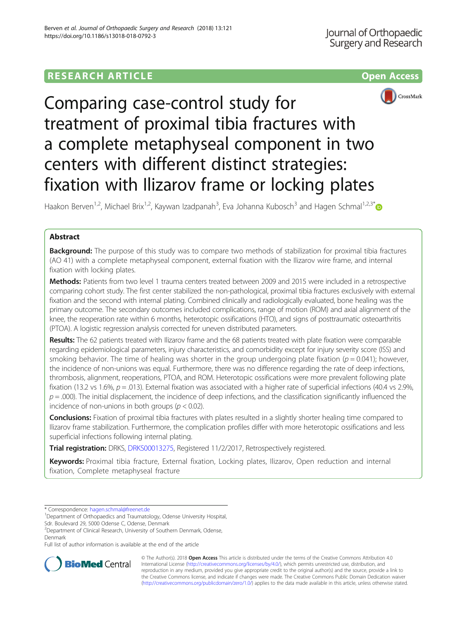# **RESEARCH ARTICLE Example 2018 12:30 THE OPEN ACCESS**





# Comparing case-control study for treatment of proximal tibia fractures with a complete metaphyseal component in two centers with different distinct strategies: fixation with Ilizarov frame or locking plates

Haakon Berven<sup>1,2</sup>, Michael Brix<sup>1,2</sup>, Kaywan Izadpanah<sup>3</sup>, Eva Johanna Kubosch<sup>3</sup> and Hagen Schmal<sup>1,2,3\*</sup>

# Abstract

**Background:** The purpose of this study was to compare two methods of stabilization for proximal tibia fractures (AO 41) with a complete metaphyseal component, external fixation with the Ilizarov wire frame, and internal fixation with locking plates.

Methods: Patients from two level 1 trauma centers treated between 2009 and 2015 were included in a retrospective comparing cohort study. The first center stabilized the non-pathological, proximal tibia fractures exclusively with external fixation and the second with internal plating. Combined clinically and radiologically evaluated, bone healing was the primary outcome. The secondary outcomes included complications, range of motion (ROM) and axial alignment of the knee, the reoperation rate within 6 months, heterotopic ossifications (HTO), and signs of posttraumatic osteoarthritis (PTOA). A logistic regression analysis corrected for uneven distributed parameters.

Results: The 62 patients treated with Ilizarov frame and the 68 patients treated with plate fixation were comparable regarding epidemiological parameters, injury characteristics, and comorbidity except for injury severity score (ISS) and smoking behavior. The time of healing was shorter in the group undergoing plate fixation ( $p = 0.041$ ); however, the incidence of non-unions was equal. Furthermore, there was no difference regarding the rate of deep infections, thrombosis, alignment, reoperations, PTOA, and ROM. Heterotopic ossifications were more prevalent following plate fixation (13.2 vs 1.6%,  $p = .013$ ). External fixation was associated with a higher rate of superficial infections (40.4 vs 2.9%,  $p = .000$ . The initial displacement, the incidence of deep infections, and the classification significantly influenced the incidence of non-unions in both groups ( $p < 0.02$ ).

Conclusions: Fixation of proximal tibia fractures with plates resulted in a slightly shorter healing time compared to Ilizarov frame stabilization. Furthermore, the complication profiles differ with more heterotopic ossifications and less superficial infections following internal plating.

Trial registration: DRKS, [DRKS00013275](https://www.drks.de/drks_web/navigate.do?navigationId=trial.HTML&TRIAL_ID=DRKS00013275), Registered 11/2/2017, Retrospectively registered.

Keywords: Proximal tibia fracture, External fixation, Locking plates, Ilizarov, Open reduction and internal fixation, Complete metaphyseal fracture

Sdr. Boulevard 29, 5000 Odense C, Odense, Denmark

Full list of author information is available at the end of the article



© The Author(s). 2018 Open Access This article is distributed under the terms of the Creative Commons Attribution 4.0 International License [\(http://creativecommons.org/licenses/by/4.0/](http://creativecommons.org/licenses/by/4.0/)), which permits unrestricted use, distribution, and reproduction in any medium, provided you give appropriate credit to the original author(s) and the source, provide a link to the Creative Commons license, and indicate if changes were made. The Creative Commons Public Domain Dedication waiver [\(http://creativecommons.org/publicdomain/zero/1.0/](http://creativecommons.org/publicdomain/zero/1.0/)) applies to the data made available in this article, unless otherwise stated.

<sup>\*</sup> Correspondence: [hagen.schmal@freenet.de](mailto:hagen.schmal@freenet.de) <sup>1</sup>

<sup>&</sup>lt;sup>1</sup>Department of Orthopaedics and Traumatology, Odense University Hospital,

<sup>&</sup>lt;sup>2</sup>Department of Clinical Research, University of Southern Denmark, Odense, Denmark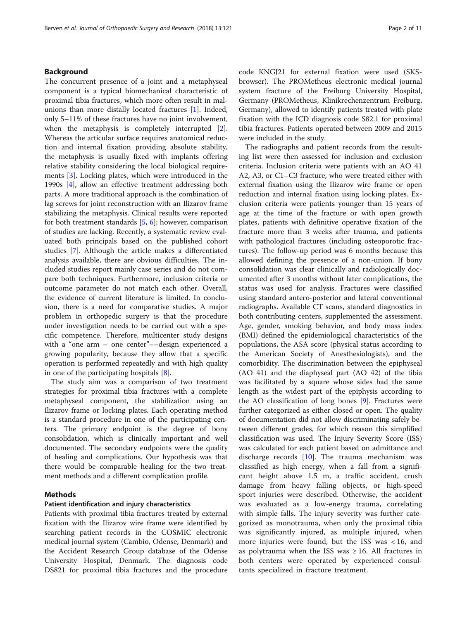## Background

The concurrent presence of a joint and a metaphyseal component is a typical biomechanical characteristic of proximal tibia fractures, which more often result in malunions than more distally located fractures [\[1\]](#page-9-0). Indeed, only 5–11% of these fractures have no joint involvement, when the metaphysis is completely interrupted [\[2](#page-9-0)]. Whereas the articular surface requires anatomical reduction and internal fixation providing absolute stability, the metaphysis is usually fixed with implants offering relative stability considering the local biological requirements [\[3](#page-9-0)]. Locking plates, which were introduced in the 1990s [[4\]](#page-9-0), allow an effective treatment addressing both parts. A more traditional approach is the combination of lag screws for joint reconstruction with an Ilizarov frame stabilizing the metaphysis. Clinical results were reported for both treatment standards [[5,](#page-9-0) [6\]](#page-9-0); however, comparison of studies are lacking. Recently, a systematic review evaluated both principals based on the published cohort studies [[7](#page-9-0)]. Although the article makes a differentiated analysis available, there are obvious difficulties. The included studies report mainly case series and do not compare both techniques. Furthermore, inclusion criteria or outcome parameter do not match each other. Overall, the evidence of current literature is limited. In conclusion, there is a need for comparative studies. A major problem in orthopedic surgery is that the procedure under investigation needs to be carried out with a specific competence. Therefore, multicenter study designs with a "one arm – one center"––design experienced a growing popularity, because they allow that a specific operation is performed repeatedly and with high quality in one of the participating hospitals [[8\]](#page-9-0).

The study aim was a comparison of two treatment strategies for proximal tibia fractures with a complete metaphyseal component, the stabilization using an Ilizarov frame or locking plates. Each operating method is a standard procedure in one of the participating centers. The primary endpoint is the degree of bony consolidation, which is clinically important and well documented. The secondary endpoints were the quality of healing and complications. Our hypothesis was that there would be comparable healing for the two treatment methods and a different complication profile.

## Methods

## Patient identification and injury characteristics

Patients with proximal tibia fractures treated by external fixation with the Ilizarov wire frame were identified by searching patient records in the COSMIC electronic medical journal system (Cambio, Odense, Denmark) and the Accident Research Group database of the Odense University Hospital, Denmark. The diagnosis code DS821 for proximal tibia fractures and the procedure code KNGJ21 for external fixation were used (SKSbrowser). The PROMetheus electronic medical journal system fracture of the Freiburg University Hospital, Germany (PROMetheus, Klinikrechenzentrum Freiburg, Germany), allowed to identify patients treated with plate fixation with the ICD diagnosis code S82.1 for proximal tibia fractures. Patients operated between 2009 and 2015 were included in the study.

The radiographs and patient records from the resulting list were then assessed for inclusion and exclusion criteria. Inclusion criteria were patients with an AO 41 A2, A3, or C1–C3 fracture, who were treated either with external fixation using the Ilizarov wire frame or open reduction and internal fixation using locking plates. Exclusion criteria were patients younger than 15 years of age at the time of the fracture or with open growth plates, patients with definitive operative fixation of the fracture more than 3 weeks after trauma, and patients with pathological fractures (including osteoporotic fractures). The follow-up period was 6 months because this allowed defining the presence of a non-union. If bony consolidation was clear clinically and radiologically documented after 3 months without later complications, the status was used for analysis. Fractures were classified using standard antero-posterior and lateral conventional radiographs. Available CT scans, standard diagnostics in both contributing centers, supplemented the assessment. Age, gender, smoking behavior, and body mass index (BMI) defined the epidemiological characteristics of the populations, the ASA score (physical status according to the American Society of Anesthesiologists), and the comorbidity. The discrimination between the epiphyseal (AO 41) and the diaphyseal part (AO 42) of the tibia was facilitated by a square whose sides had the same length as the widest part of the epiphysis according to the AO classification of long bones [[9](#page-9-0)]. Fractures were further categorized as either closed or open. The quality of documentation did not allow discriminating safely between different grades, for which reason this simplified classification was used. The Injury Severity Score (ISS) was calculated for each patient based on admittance and discharge records [\[10](#page-9-0)]. The trauma mechanism was classified as high energy, when a fall from a significant height above 1.5 m, a traffic accident, crush damage from heavy falling objects, or high-speed sport injuries were described. Otherwise, the accident was evaluated as a low-energy trauma, correlating with simple falls. The injury severity was further categorized as monotrauma, when only the proximal tibia was significantly injured, as multiple injured, when more injuries were found, but the ISS was  $< 16$ , and as polytrauma when the ISS was  $\geq$  16. All fractures in both centers were operated by experienced consultants specialized in fracture treatment.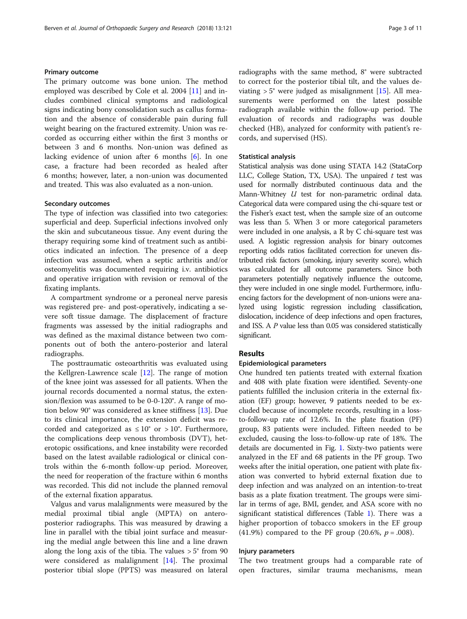## Primary outcome

The primary outcome was bone union. The method employed was described by Cole et al. 2004 [\[11](#page-9-0)] and includes combined clinical symptoms and radiological signs indicating bony consolidation such as callus formation and the absence of considerable pain during full weight bearing on the fractured extremity. Union was recorded as occurring either within the first 3 months or between 3 and 6 months. Non-union was defined as lacking evidence of union after 6 months [\[6](#page-9-0)]. In one case, a fracture had been recorded as healed after 6 months; however, later, a non-union was documented and treated. This was also evaluated as a non-union.

#### Secondary outcomes

The type of infection was classified into two categories: superficial and deep. Superficial infections involved only the skin and subcutaneous tissue. Any event during the therapy requiring some kind of treatment such as antibiotics indicated an infection. The presence of a deep infection was assumed, when a septic arthritis and/or osteomyelitis was documented requiring i.v. antibiotics and operative irrigation with revision or removal of the fixating implants.

A compartment syndrome or a peroneal nerve paresis was registered pre- and post-operatively, indicating a severe soft tissue damage. The displacement of fracture fragments was assessed by the initial radiographs and was defined as the maximal distance between two components out of both the antero-posterior and lateral radiographs.

The posttraumatic osteoarthritis was evaluated using the Kellgren-Lawrence scale [\[12\]](#page-9-0). The range of motion of the knee joint was assessed for all patients. When the journal records documented a normal status, the extension/flexion was assumed to be 0-0-120°. A range of motion below 90° was considered as knee stiffness [[13](#page-9-0)]. Due to its clinical importance, the extension deficit was recorded and categorized as  $\leq 10^{\circ}$  or  $> 10^{\circ}$ . Furthermore, the complications deep venous thrombosis (DVT), heterotopic ossifications, and knee instability were recorded based on the latest available radiological or clinical controls within the 6-month follow-up period. Moreover, the need for reoperation of the fracture within 6 months was recorded. This did not include the planned removal of the external fixation apparatus.

Valgus and varus malalignments were measured by the medial proximal tibial angle (MPTA) on anteroposterior radiographs. This was measured by drawing a line in parallel with the tibial joint surface and measuring the medial angle between this line and a line drawn along the long axis of the tibia. The values  $> 5^{\circ}$  from 90 were considered as malalignment  $[14]$ . The proximal posterior tibial slope (PPTS) was measured on lateral radiographs with the same method, 8° were subtracted to correct for the posterior tibial tilt, and the values deviating  $> 5^{\circ}$  were judged as misalignment [\[15](#page-9-0)]. All measurements were performed on the latest possible radiograph available within the follow-up period. The evaluation of records and radiographs was double checked (HB), analyzed for conformity with patient's records, and supervised (HS).

### Statistical analysis

Statistical analysis was done using STATA 14.2 (StataCorp LLC, College Station, TX, USA). The unpaired  $t$  test was used for normally distributed continuous data and the Mann-Whitney *U* test for non-parametric ordinal data. Categorical data were compared using the chi-square test or the Fisher's exact test, when the sample size of an outcome was less than 5. When 3 or more categorical parameters were included in one analysis, a R by C chi-square test was used. A logistic regression analysis for binary outcomes reporting odds ratios facilitated correction for uneven distributed risk factors (smoking, injury severity score), which was calculated for all outcome parameters. Since both parameters potentially negatively influence the outcome, they were included in one single model. Furthermore, influencing factors for the development of non-unions were analyzed using logistic regression including classification, dislocation, incidence of deep infections and open fractures, and ISS. A P value less than 0.05 was considered statistically significant.

## Results

#### Epidemiological parameters

One hundred ten patients treated with external fixation and 408 with plate fixation were identified. Seventy-one patients fulfilled the inclusion criteria in the external fixation (EF) group; however, 9 patients needed to be excluded because of incomplete records, resulting in a lossto-follow-up rate of 12.6%. In the plate fixation (PF) group, 83 patients were included. Fifteen needed to be excluded, causing the loss-to-follow-up rate of 18%. The details are documented in Fig. [1](#page-4-0). Sixty-two patients were analyzed in the EF and 68 patients in the PF group. Two weeks after the initial operation, one patient with plate fixation was converted to hybrid external fixation due to deep infection and was analyzed on an intention-to-treat basis as a plate fixation treatment. The groups were similar in terms of age, BMI, gender, and ASA score with no significant statistical differences (Table [1](#page-4-0)). There was a higher proportion of tobacco smokers in the EF group (41.9%) compared to the PF group (20.6%,  $p = .008$ ).

### Injury parameters

The two treatment groups had a comparable rate of open fractures, similar trauma mechanisms, mean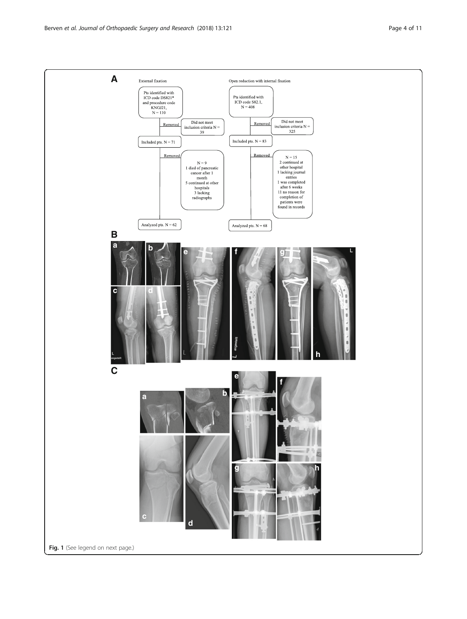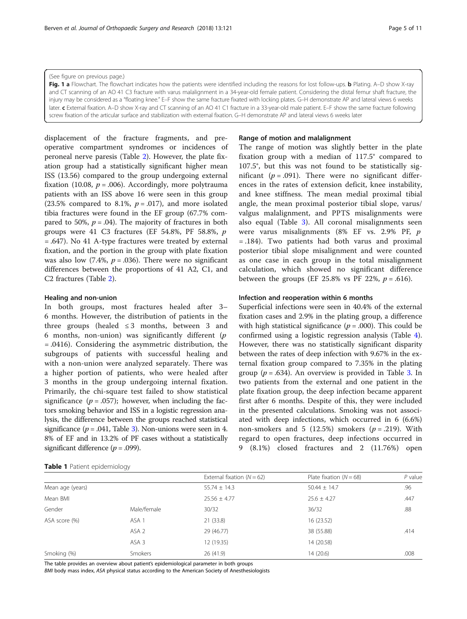<span id="page-4-0"></span>(See figure on previous page.)

Fig. 1 a Flowchart. The flowchart indicates how the patients were identified including the reasons for lost follow-ups. b Plating. A–D show X-ray and CT scanning of an AO 41 C3 fracture with varus malalignment in a 34-year-old female patient. Considering the distal femur shaft fracture, the injury may be considered as a "floating knee." E–F show the same fracture fixated with locking plates. G–H demonstrate AP and lateral views 6 weeks later. c External fixation. A–D show X-ray and CT scanning of an AO 41 C1 fracture in a 33-year-old male patient. E–F show the same fracture following screw fixation of the articular surface and stabilization with external fixation. G–H demonstrate AP and lateral views 6 weeks later

displacement of the fracture fragments, and preoperative compartment syndromes or incidences of peroneal nerve paresis (Table [2\)](#page-5-0). However, the plate fixation group had a statistically significant higher mean ISS (13.56) compared to the group undergoing external fixation (10.08,  $p = .006$ ). Accordingly, more polytrauma patients with an ISS above 16 were seen in this group (23.5% compared to 8.1%,  $p = .017$ ), and more isolated tibia fractures were found in the EF group (67.7% compared to 50%,  $p = .04$ ). The majority of fractures in both groups were 41 C3 fractures (EF 54.8%, PF 58.8%,  $p$ = .647). No 41 A-type fractures were treated by external fixation, and the portion in the group with plate fixation was also low (7.4%,  $p = .036$ ). There were no significant differences between the proportions of 41 A2, C1, and C2 fractures (Table [2](#page-5-0)).

## Healing and non-union

In both groups, most fractures healed after 3– 6 months. However, the distribution of patients in the three groups (healed  $\leq$  3 months, between 3 and 6 months, non-union) was significantly different  $(p)$ = .0416). Considering the asymmetric distribution, the subgroups of patients with successful healing and with a non-union were analyzed separately. There was a higher portion of patients, who were healed after 3 months in the group undergoing internal fixation. Primarily, the chi-square test failed to show statistical significance ( $p = .057$ ); however, when including the factors smoking behavior and ISS in a logistic regression analysis, the difference between the groups reached statistical significance ( $p = .041$ , Table [3](#page-6-0)). Non-unions were seen in 4. 8% of EF and in 13.2% of PF cases without a statistically significant difference ( $p = .099$ ).

#### Range of motion and malalignment

The range of motion was slightly better in the plate fixation group with a median of 117.5° compared to 107.5°, but this was not found to be statistically significant ( $p = .091$ ). There were no significant differences in the rates of extension deficit, knee instability, and knee stiffness. The mean medial proximal tibial angle, the mean proximal posterior tibial slope, varus/ valgus malalignment, and PPTS misalignments were also equal (Table [3\)](#page-6-0). All coronal misalignments seen were varus misalignments (8% EF vs. 2.9% PF, p = .184). Two patients had both varus and proximal posterior tibial slope misalignment and were counted as one case in each group in the total misalignment calculation, which showed no significant difference between the groups (EF 25.8% vs PF 22%,  $p = .616$ ).

#### Infection and reoperation within 6 months

Superficial infections were seen in 40.4% of the external fixation cases and 2.9% in the plating group, a difference with high statistical significance ( $p = .000$ ). This could be confirmed using a logistic regression analysis (Table [4](#page-6-0)). However, there was no statistically significant disparity between the rates of deep infection with 9.67% in the external fixation group compared to 7.35% in the plating group ( $p = .634$  $p = .634$  $p = .634$ ). An overview is provided in Table 3. In two patients from the external and one patient in the plate fixation group, the deep infection became apparent first after 6 months. Despite of this, they were included in the presented calculations. Smoking was not associated with deep infections, which occurred in 6 (6.6%) non-smokers and 5 (12.5%) smokers ( $p = .219$ ). With regard to open fractures, deep infections occurred in 9 (8.1%) closed fractures and 2 (11.76%) open

## Table 1 Patient epidemiology

|                  | $\sim$           |                              |                           |           |
|------------------|------------------|------------------------------|---------------------------|-----------|
|                  |                  | External fixation $(N = 62)$ | Plate fixation $(N = 68)$ | $P$ value |
| Mean age (years) |                  | $55.74 \pm 14.3$             | $50.44 \pm 14.7$          | .96       |
| Mean BMI         |                  | $25.56 \pm 4.77$             | $25.6 \pm 4.27$           | .447      |
| Gender           | Male/female      | 30/32                        | 36/32                     | .88       |
| ASA score (%)    | ASA 1            | 21 (33.8)                    | 16(23.52)                 |           |
|                  | ASA <sub>2</sub> | 29 (46.77)                   | 38 (55.88)                | .414      |
|                  | ASA 3            | 12 (19.35)                   | 14 (20.58)                |           |
| Smoking (%)      | Smokers          | 26(41.9)                     | 14(20.6)                  | .008      |
|                  |                  |                              |                           |           |

The table provides an overview about patient's epidemiological parameter in both groups

BMI body mass index, ASA physical status according to the American Society of Anesthesiologists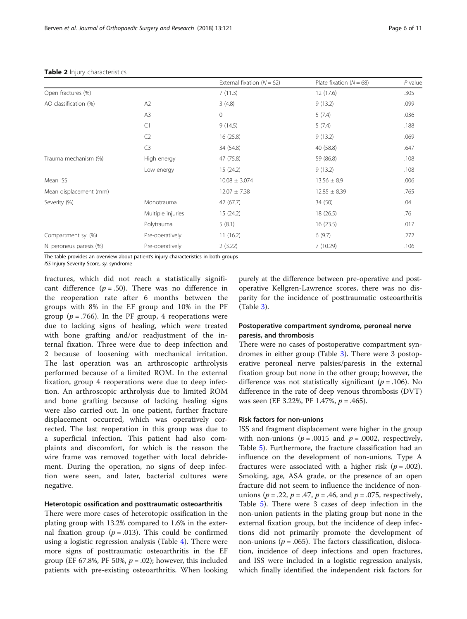|                         |                   | External fixation ( $N = 62$ ) | Plate fixation $(N = 68)$ | $P$ value |
|-------------------------|-------------------|--------------------------------|---------------------------|-----------|
| Open fractures (%)      |                   | 7(11.3)                        | 12(17.6)                  | .305      |
| AO classification (%)   | A2                | 3(4.8)                         | 9(13.2)                   | .099      |
|                         | A <sub>3</sub>    | $\circ$                        | 5(7.4)                    | .036      |
|                         | C1                | 9(14.5)                        | 5(7.4)                    | .188      |
|                         | C <sub>2</sub>    | 16(25.8)                       | 9(13.2)                   | .069      |
|                         | C <sub>3</sub>    | 34 (54.8)                      | 40 (58.8)                 | .647      |
| Trauma mechanism (%)    | High energy       | 47 (75.8)                      | 59 (86.8)                 | .108      |
|                         | Low energy        | 15(24.2)                       | 9(13.2)                   | .108      |
| Mean ISS                |                   | $10.08 \pm 3.074$              | $13.56 \pm 8.9$           | .006      |
| Mean displacement (mm)  |                   | $12.07 \pm 7.38$               | $12.85 \pm 8.39$          | .765      |
| Severity (%)            | Monotrauma        | 42 (67.7)                      | 34 (50)                   | .04       |
|                         | Multiple injuries | 15(24.2)                       | 18(26.5)                  | .76       |
|                         | Polytrauma        | 5(8.1)                         | 16(23.5)                  | .017      |
| Compartment sy. (%)     | Pre-operatively   | 11(16.2)                       | 6(9.7)                    | .272      |
| N. peroneus paresis (%) | Pre-operatively   | 2(3.22)                        | 7(10.29)                  | .106      |

#### <span id="page-5-0"></span>Table 2 Injury characteristics

The table provides an overview about patient's injury characteristics in both groups

ISS Injury Severity Score, sy. syndrome

fractures, which did not reach a statistically significant difference ( $p = .50$ ). There was no difference in the reoperation rate after 6 months between the groups with 8% in the EF group and 10% in the PF group ( $p = .766$ ). In the PF group, 4 reoperations were due to lacking signs of healing, which were treated with bone grafting and/or readjustment of the internal fixation. Three were due to deep infection and 2 because of loosening with mechanical irritation. The last operation was an arthroscopic arthrolysis performed because of a limited ROM. In the external fixation, group 4 reoperations were due to deep infection. An arthroscopic arthrolysis due to limited ROM and bone grafting because of lacking healing signs were also carried out. In one patient, further fracture displacement occurred, which was operatively corrected. The last reoperation in this group was due to a superficial infection. This patient had also complaints and discomfort, for which is the reason the wire frame was removed together with local debridement. During the operation, no signs of deep infection were seen, and later, bacterial cultures were negative.

## Heterotopic ossification and posttraumatic osteoarthritis

There were more cases of heterotopic ossification in the plating group with 13.2% compared to 1.6% in the external fixation group ( $p = .013$ ). This could be confirmed using a logistic regression analysis (Table [4\)](#page-6-0). There were more signs of posttraumatic osteoarthritis in the EF group (EF 67.8%, PF 50%,  $p = .02$ ); however, this included patients with pre-existing osteoarthritis. When looking purely at the difference between pre-operative and postoperative Kellgren-Lawrence scores, there was no disparity for the incidence of posttraumatic osteoarthritis (Table [3\)](#page-6-0).

## Postoperative compartment syndrome, peroneal nerve paresis, and thrombosis

There were no cases of postoperative compartment syndromes in either group (Table [3](#page-6-0)). There were 3 postoperative peroneal nerve palsies/paresis in the external fixation group but none in the other group; however, the difference was not statistically significant ( $p = .106$ ). No difference in the rate of deep venous thrombosis (DVT) was seen (EF 3.22%, PF 1.47%,  $p = .465$ ).

## Risk factors for non-unions

ISS and fragment displacement were higher in the group with non-unions ( $p = .0015$  and  $p = .0002$ , respectively, Table [5](#page-7-0)). Furthermore, the fracture classification had an influence on the development of non-unions. Type A fractures were associated with a higher risk  $(p=.002)$ . Smoking, age, ASA grade, or the presence of an open fracture did not seem to influence the incidence of nonunions ( $p = .22$ ,  $p = .47$ ,  $p = .46$ , and  $p = .075$ , respectively, Table [5\)](#page-7-0). There were 3 cases of deep infection in the non-union patients in the plating group but none in the external fixation group, but the incidence of deep infections did not primarily promote the development of non-unions ( $p = .065$ ). The factors classification, dislocation, incidence of deep infections and open fractures, and ISS were included in a logistic regression analysis, which finally identified the independent risk factors for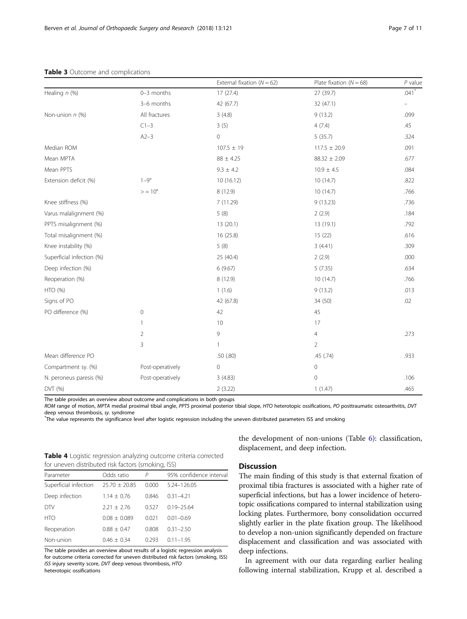|                           |                  | External fixation ( $N = 62$ ) | Plate fixation $(N = 68)$ | $P$ value                |
|---------------------------|------------------|--------------------------------|---------------------------|--------------------------|
| Healing $n$ (%)           | 0-3 months       | 17(27.4)                       | 27 (39.7)                 | $.041$ <sup>*</sup>      |
|                           | 3-6 months       | 42 (67.7)                      | 32(47.1)                  | $\overline{\phantom{m}}$ |
| Non-union n (%)           | All fractures    | 3(4.8)                         | 9(13.2)                   | .099                     |
|                           | $C1-3$           | 3(5)                           | 4(7.4)                    | .45                      |
|                           | $A2-3$           | $\mathbf 0$                    | 5(35.7)                   | .324                     |
| Median ROM                |                  | $107.5 \pm 19$                 | $117.5 \pm 20.9$          | .091                     |
| Mean MPTA                 |                  | $88 \pm 4.25$                  | $88.32 \pm 2.09$          | .677                     |
| Mean PPTS                 |                  | $9.3 \pm 4.2$                  | $10.9 \pm 4.5$            | .084                     |
| Extension deficit (%)     | $1-9^\circ$      | 10(16.12)                      | 10(14.7)                  | .822                     |
|                           | $> = 10^{\circ}$ | 8 (12.9)                       | 10(14.7)                  | .766                     |
| Knee stiffness (%)        |                  | 7(11.29)                       | 9(13.23)                  | .736                     |
| Varus malalignment (%)    |                  | 5(8)                           | 2(2.9)                    | .184                     |
| PPTS misalignment (%)     |                  | 13(20.1)                       | 13 (19.1)                 | .792                     |
| Total misalignment (%)    |                  | 16 (25.8)                      | 15(22)                    | .616                     |
| Knee instability (%)      |                  | 5(8)                           | 3(4.41)                   | .309                     |
| Superficial infection (%) |                  | 25 (40.4)                      | 2(2.9)                    | .000                     |
| Deep infection (%)        |                  | 6(9.67)                        | 5(7.35)                   | .634                     |
| Reoperation (%)           |                  | 8 (12.9)                       | 10(14.7)                  | .766                     |
| HTO (%)                   |                  | 1(1.6)                         | 9(13.2)                   | .013                     |
| Signs of PO               |                  | 42 (67.8)                      | 34 (50)                   | .02                      |
| PO difference (%)         | $\mathbf{0}$     | 42                             | 45                        |                          |
|                           | $\overline{1}$   | 10                             | 17                        |                          |
|                           | $\overline{2}$   | 9                              | 4                         | .273                     |
|                           | 3                | 1                              | $\overline{2}$            |                          |
| Mean difference PO        |                  | .50 (.80)                      | .45 (.74)                 | .933                     |
| Compartment sy. (%)       | Post-operatively | $\mathbf 0$                    | $\mathbf 0$               |                          |
| N. peroneus paresis (%)   | Post-operatively | 3(4.83)                        | 0                         | .106                     |
| DVT (%)                   |                  | 2(3.22)                        | 1(1.47)                   | .465                     |

#### <span id="page-6-0"></span>Table 3 Outcome and complications

The table provides an overview about outcome and complications in both groups

ROM range of motion, MPTA medial proximal tibial angle, PPTS proximal posterior tibial slope, HTO heterotopic ossifications, PO posttraumatic osteoarthritis, DVT deep venous thrombosis, sy. syndrome

The value represents the significance level after logistic regression including the uneven distributed parameters ISS and smoking

| <b>Table 4</b> Logistic regression analyzing outcome criteria corrected |  |
|-------------------------------------------------------------------------|--|
| for uneven distributed risk factors (smoking, ISS)                      |  |

| Parameter             | Odds ratio      | P     | 95% confidence interval |
|-----------------------|-----------------|-------|-------------------------|
| Superficial infection | $25.70 + 20.85$ | 0.000 | 5.24-126.05             |
| Deep infection        | $1.14 \pm 0.76$ | 0.846 | $0.31 - 4.21$           |
| <b>DTV</b>            | $2.21 \pm 2.76$ | 0.527 | $0.19 - 25.64$          |
| <b>HTO</b>            | $0.08 + 0.089$  | 0.021 | $0.01 - 0.69$           |
| Reoperation           | $0.88 \pm 0.47$ | 0.808 | $0.31 - 2.50$           |
| Non-union             | $0.46 \pm 0.34$ | 0.293 | $0.11 - 1.95$           |
|                       |                 |       |                         |

The table provides an overview about results of a logistic regression analysis for outcome criteria corrected for uneven distributed risk factors (smoking, ISS) ISS injury severity score, DVT deep venous thrombosis, HTO heterotopic ossifications

the development of non-unions (Table [6](#page-7-0)): classification, displacement, and deep infection.

## **Discussion**

The main finding of this study is that external fixation of proximal tibia fractures is associated with a higher rate of superficial infections, but has a lower incidence of heterotopic ossifications compared to internal stabilization using locking plates. Furthermore, bony consolidation occurred slightly earlier in the plate fixation group. The likelihood to develop a non-union significantly depended on fracture displacement and classification and was associated with deep infections.

In agreement with our data regarding earlier healing following internal stabilization, Krupp et al. described a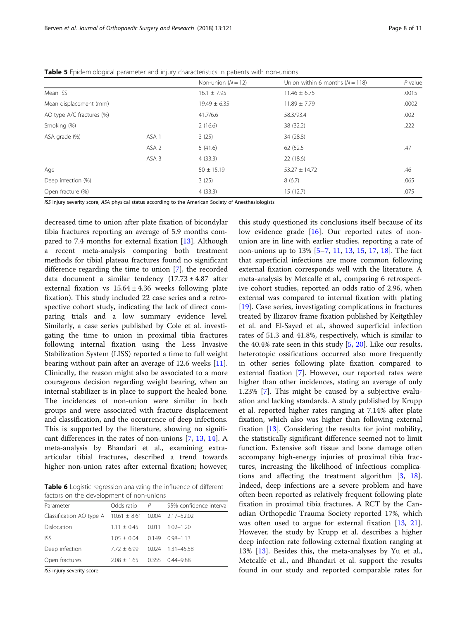|                           |                  | Non-union $(N = 12)$ | Union within 6 months ( $N = 118$ ) | $P$ value |
|---------------------------|------------------|----------------------|-------------------------------------|-----------|
| Mean ISS                  |                  | $16.1 \pm 7.95$      | $11.46 \pm 6.75$                    | .0015     |
| Mean displacement (mm)    |                  | $19.49 \pm 6.35$     | $11.89 \pm 7.79$                    | .0002     |
| AO type A/C fractures (%) |                  | 41.7/6.6             | 58.3/93.4                           | .002      |
| Smoking (%)               |                  | 2(16.6)              | 38 (32.2)                           | .222      |
| ASA grade (%)             | ASA <sub>1</sub> | 3(25)                | 34 (28.8)                           |           |
|                           | ASA <sub>2</sub> | 5(41.6)              | 62 (52.5                            | .47       |
|                           | ASA <sub>3</sub> | 4(33.3)              | 22(18.6)                            |           |
| Age                       |                  | $50 \pm 15.19$       | $53.27 \pm 14.72$                   | .46       |
| Deep infection (%)        |                  | 3(25)                | 8(6.7)                              | .065      |
| Open fracture (%)         |                  | 4(33.3)              | 15(12.7)                            | .075      |

<span id="page-7-0"></span>Table 5 Epidemiological parameter and injury characteristics in patients with non-unions

ISS injury severity score, ASA physical status according to the American Society of Anesthesiologists

decreased time to union after plate fixation of bicondylar tibia fractures reporting an average of 5.9 months compared to 7.4 months for external fixation [[13](#page-9-0)]. Although a recent meta-analysis comparing both treatment methods for tibial plateau fractures found no significant difference regarding the time to union [[7\]](#page-9-0), the recorded data document a similar tendency  $(17.73 \pm 4.87)$  after external fixation vs  $15.64 \pm 4.36$  weeks following plate fixation). This study included 22 case series and a retrospective cohort study, indicating the lack of direct comparing trials and a low summary evidence level. Similarly, a case series published by Cole et al. investigating the time to union in proximal tibia fractures following internal fixation using the Less Invasive Stabilization System (LISS) reported a time to full weight bearing without pain after an average of 12.6 weeks [\[11](#page-9-0)]. Clinically, the reason might also be associated to a more courageous decision regarding weight bearing, when an internal stabilizer is in place to support the healed bone. The incidences of non-union were similar in both groups and were associated with fracture displacement and classification, and the occurrence of deep infections. This is supported by the literature, showing no significant differences in the rates of non-unions [[7,](#page-9-0) [13,](#page-9-0) [14](#page-9-0)]. A meta-analysis by Bhandari et al., examining extraarticular tibial fractures, described a trend towards higher non-union rates after external fixation; however,

Table 6 Logistic regression analyzing the influence of different factors on the development of non-unions

| Parameter                                                  | Odds ratio $P$                  | 95% confidence interval |
|------------------------------------------------------------|---------------------------------|-------------------------|
| Classification AO type A $10.61 \pm 8.61$ 0.004 2.17-52.02 |                                 |                         |
| Dislocation                                                | $1.11 + 0.45$ 0.011 1.02-1.20   |                         |
| <b>ISS</b>                                                 | $1.05 + 0.04$ 0.149 0.98-1.13   |                         |
| Deep infection                                             | $7.72 + 6.99$ 0.024 1.31-45.58  |                         |
| Open fractures                                             | $2.08 \pm 1.65$ 0.355 0.44-9.88 |                         |
|                                                            |                                 |                         |

ISS injury severity score

this study questioned its conclusions itself because of its low evidence grade [[16\]](#page-9-0). Our reported rates of nonunion are in line with earlier studies, reporting a rate of non-unions up to 13% [[5](#page-9-0)–[7](#page-9-0), [11,](#page-9-0) [13,](#page-9-0) [15](#page-9-0), [17](#page-9-0), [18\]](#page-9-0). The fact that superficial infections are more common following external fixation corresponds well with the literature. A meta-analysis by Metcalfe et al., comparing 6 retrospective cohort studies, reported an odds ratio of 2.96, when external was compared to internal fixation with plating [[19\]](#page-9-0). Case series, investigating complications in fractures treated by Ilizarov frame fixation published by Keitgthley et al. and El-Sayed et al., showed superficial infection rates of 51.3 and 41.8%, respectively, which is similar to the 40.4% rate seen in this study  $[5, 20]$  $[5, 20]$  $[5, 20]$  $[5, 20]$ . Like our results, heterotopic ossifications occurred also more frequently in other series following plate fixation compared to external fixation [\[7](#page-9-0)]. However, our reported rates were higher than other incidences, stating an average of only 1.23% [[7\]](#page-9-0). This might be caused by a subjective evaluation and lacking standards. A study published by Krupp et al. reported higher rates ranging at 7.14% after plate fixation, which also was higher than following external fixation [[13\]](#page-9-0). Considering the results for joint mobility, the statistically significant difference seemed not to limit function. Extensive soft tissue and bone damage often accompany high-energy injuries of proximal tibia fractures, increasing the likelihood of infectious complications and affecting the treatment algorithm [[3,](#page-9-0) [18](#page-9-0)]. Indeed, deep infections are a severe problem and have often been reported as relatively frequent following plate fixation in proximal tibia fractures. A RCT by the Canadian Orthopedic Trauma Society reported 17%, which was often used to argue for external fixation [[13,](#page-9-0) [21](#page-9-0)]. However, the study by Krupp et al. describes a higher deep infection rate following external fixation ranging at 13% [\[13](#page-9-0)]. Besides this, the meta-analyses by Yu et al., Metcalfe et al., and Bhandari et al. support the results found in our study and reported comparable rates for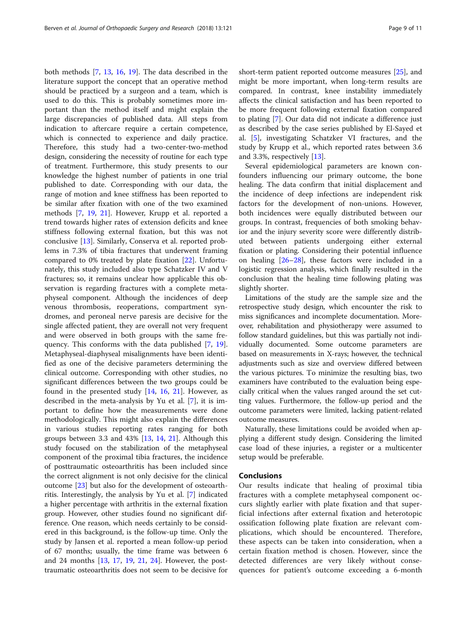both methods [\[7](#page-9-0), [13,](#page-9-0) [16,](#page-9-0) [19](#page-9-0)]. The data described in the literature support the concept that an operative method should be practiced by a surgeon and a team, which is used to do this. This is probably sometimes more important than the method itself and might explain the large discrepancies of published data. All steps from indication to aftercare require a certain competence, which is connected to experience and daily practice. Therefore, this study had a two-center-two-method design, considering the necessity of routine for each type of treatment. Furthermore, this study presents to our knowledge the highest number of patients in one trial published to date. Corresponding with our data, the range of motion and knee stiffness has been reported to be similar after fixation with one of the two examined methods [[7,](#page-9-0) [19](#page-9-0), [21\]](#page-9-0). However, Krupp et al. reported a trend towards higher rates of extension deficits and knee stiffness following external fixation, but this was not conclusive [[13](#page-9-0)]. Similarly, Conserva et al. reported problems in 7.3% of tibia fractures that underwent framing compared to 0% treated by plate fixation [\[22](#page-9-0)]. Unfortunately, this study included also type Schatzker IV and V fractures; so, it remains unclear how applicable this observation is regarding fractures with a complete metaphyseal component. Although the incidences of deep venous thrombosis, reoperations, compartment syndromes, and peroneal nerve paresis are decisive for the single affected patient, they are overall not very frequent and were observed in both groups with the same frequency. This conforms with the data published [\[7](#page-9-0), [19](#page-9-0)]. Metaphyseal-diaphyseal misalignments have been identified as one of the decisive parameters determining the clinical outcome. Corresponding with other studies, no significant differences between the two groups could be found in the presented study  $[14, 16, 21]$  $[14, 16, 21]$  $[14, 16, 21]$  $[14, 16, 21]$  $[14, 16, 21]$  $[14, 16, 21]$  $[14, 16, 21]$ . However, as described in the meta-analysis by Yu et al. [[7](#page-9-0)], it is important to define how the measurements were done methodologically. This might also explain the differences in various studies reporting rates ranging for both groups between 3.3 and 43% [\[13](#page-9-0), [14,](#page-9-0) [21\]](#page-9-0). Although this study focused on the stabilization of the metaphyseal component of the proximal tibia fractures, the incidence of posttraumatic osteoarthritis has been included since the correct alignment is not only decisive for the clinical outcome [[23\]](#page-9-0) but also for the development of osteoarthritis. Interestingly, the analysis by Yu et al. [[7](#page-9-0)] indicated a higher percentage with arthritis in the external fixation group. However, other studies found no significant difference. One reason, which needs certainly to be considered in this background, is the follow-up time. Only the study by Jansen et al. reported a mean follow-up period of 67 months; usually, the time frame was between 6 and 24 months [[13,](#page-9-0) [17,](#page-9-0) [19,](#page-9-0) [21,](#page-9-0) [24\]](#page-9-0). However, the posttraumatic osteoarthritis does not seem to be decisive for short-term patient reported outcome measures [\[25\]](#page-9-0), and might be more important, when long-term results are compared. In contrast, knee instability immediately affects the clinical satisfaction and has been reported to be more frequent following external fixation compared to plating [[7\]](#page-9-0). Our data did not indicate a difference just as described by the case series published by El-Sayed et al. [\[5](#page-9-0)], investigating Schatzker VI fractures, and the study by Krupp et al., which reported rates between 3.6 and 3.3%, respectively [\[13](#page-9-0)].

Several epidemiological parameters are known confounders influencing our primary outcome, the bone healing. The data confirm that initial displacement and the incidence of deep infections are independent risk factors for the development of non-unions. However, both incidences were equally distributed between our groups. In contrast, frequencies of both smoking behavior and the injury severity score were differently distributed between patients undergoing either external fixation or plating. Considering their potential influence on healing  $[26-28]$  $[26-28]$  $[26-28]$  $[26-28]$  $[26-28]$ , these factors were included in a logistic regression analysis, which finally resulted in the conclusion that the healing time following plating was slightly shorter.

Limitations of the study are the sample size and the retrospective study design, which encounter the risk to miss significances and incomplete documentation. Moreover, rehabilitation and physiotherapy were assumed to follow standard guidelines, but this was partially not individually documented. Some outcome parameters are based on measurements in X-rays; however, the technical adjustments such as size and overview differed between the various pictures. To minimize the resulting bias, two examiners have contributed to the evaluation being especially critical when the values ranged around the set cutting values. Furthermore, the follow-up period and the outcome parameters were limited, lacking patient-related outcome measures.

Naturally, these limitations could be avoided when applying a different study design. Considering the limited case load of these injuries, a register or a multicenter setup would be preferable.

#### Conclusions

Our results indicate that healing of proximal tibia fractures with a complete metaphyseal component occurs slightly earlier with plate fixation and that superficial infections after external fixation and heterotopic ossification following plate fixation are relevant complications, which should be encountered. Therefore, these aspects can be taken into consideration, when a certain fixation method is chosen. However, since the detected differences are very likely without consequences for patient's outcome exceeding a 6-month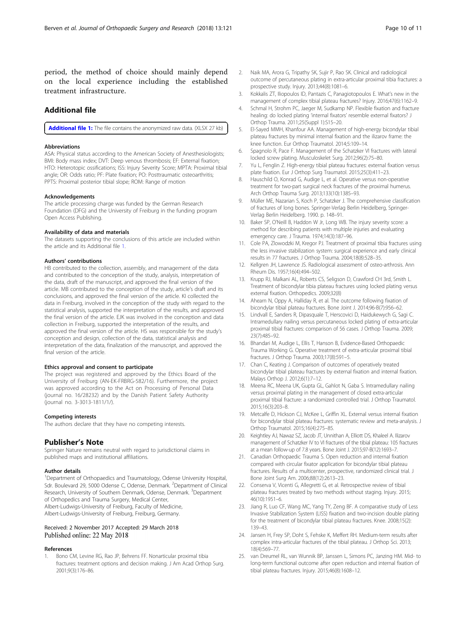<span id="page-9-0"></span>period, the method of choice should mainly depend on the local experience including the established treatment infrastructure.

## Additional file

[Additional file 1:](https://doi.org/10.1186/s13018-018-0792-3) The file contains the anonymized raw data. (XLSX 27 kb)

#### Abbreviations

ASA: Physical status according to the American Society of Anesthesiologists; BMI: Body mass index; DVT: Deep venous thrombosis; EF: External fixation; HTO: Heterotopic ossifications; ISS: Injury Severity Score; MPTA: Proximal tibial angle; OR: Odds ratio; PF: Plate fixation; PO: Posttraumatic osteoarthritis; PPTS: Proximal posterior tibial slope; ROM: Range of motion

#### Acknowledgements

The article processing charge was funded by the German Research Foundation (DFG) and the University of Freiburg in the funding program Open Access Publishing.

#### Availability of data and materials

The datasets supporting the conclusions of this article are included within the article and its Additional file 1.

#### Authors' contributions

HB contributed to the collection, assembly, and management of the data and contributed to the conception of the study, analysis, interpretation of the data, draft of the manuscript, and approved the final version of the article. MB contributed to the conception of the study, article's draft and its conclusions, and approved the final version of the article. KI collected the data in Freiburg, involved in the conception of the study with regard to the statistical analysis, supported the interpretation of the results, and approved the final version of the article. EJK was involved in the conception and data collection in Freiburg, supported the interpretation of the results, and approved the final version of the article. HS was responsible for the study's conception and design, collection of the data, statistical analysis and interpretation of the data, finalization of the manuscript, and approved the final version of the article.

#### Ethics approval and consent to participate

The project was registered and approved by the Ethics Board of the University of Freiburg (AN-EK-FRBRG-582/16). Furthermore, the project was approved according to the Act on Processing of Personal Data (journal no. 16/28232) and by the Danish Patient Safety Authority (journal no. 3-3013-1811/1/).

#### Competing interests

The authors declare that they have no competing interests.

#### Publisher's Note

Springer Nature remains neutral with regard to jurisdictional claims in published maps and institutional affiliations.

#### Author details

<sup>1</sup>Department of Orthopaedics and Traumatology, Odense University Hospital, Sdr. Boulevard 29, 5000 Odense C, Odense, Denmark. <sup>2</sup>Department of Clinical Research, University of Southern Denmark, Odense, Denmark. <sup>3</sup>Department of Orthopedics and Trauma Surgery, Medical Center, Albert-Ludwigs-University of Freiburg, Faculty of Medicine,

Albert-Ludwigs-University of Freiburg, Freiburg, Germany.

## Received: 2 November 2017 Accepted: 29 March 2018 Published online: 22 May 2018

#### References

Bono CM, Levine RG, Rao JP, Behrens FF. Nonarticular proximal tibia fractures: treatment options and decision making. J Am Acad Orthop Surg. 2001;9(3):176–86.

- 2. Naik MA, Arora G, Tripathy SK, Sujir P, Rao SK. Clinical and radiological outcome of percutaneous plating in extra-articular proximal tibia fractures: a prospective study. Injury. 2013;44(8):1081–6.
- 3. Kokkalis ZT, Iliopoulos ID, Pantazis C, Panagiotopoulos E. What's new in the management of complex tibial plateau fractures? Injury. 2016;47(6):1162–9.
- 4. Schmal H, Strohm PC, Jaeger M, Sudkamp NP. Flexible fixation and fracture healing: do locked plating 'internal fixators' resemble external fixators? J Orthop Trauma. 2011;25(Suppl 1):S15–20.
- 5. El-Sayed MMH, Khanfour AA. Management of high-energy bicondylar tibial plateau fractures by minimal internal fixation and the ilizarov frame: the knee function. Eur Orthop Traumatol. 2014;5:109–14.
- 6. Spagnolo R, Pace F. Management of the Schatzker VI fractures with lateral locked screw plating. Musculoskelet Surg. 2012;96(2):75–80.
- 7. Yu L, Fenglin Z. High-energy tibial plateau fractures: external fixation versus plate fixation. Eur J Orthop Surg Traumatol. 2015;25(3):411–23.
- Hauschild O, Konrad G, Audige L, et al. Operative versus non-operative treatment for two-part surgical neck fractures of the proximal humerus. Arch Orthop Trauma Surg. 2013;133(10):1385–93.
- 9. Müller ME, Nazarian S, Koch P, Schatzker J. The comprehensive classification of fractures of long bones. Springer-Verlag Berlin Heidelberg, Springer-Verlag Berlin Heidelberg. 1990. p. 148–91.
- 10. Baker SP, O'Neill B, Haddon W Jr, Long WB. The injury severity score: a method for describing patients with multiple injuries and evaluating emergency care. J Trauma. 1974;14(3):187–96.
- 11. Cole PA, Zlowodzki M, Kregor PJ. Treatment of proximal tibia fractures using the less invasive stabilization system: surgical experience and early clinical results in 77 fractures. J Orthop Trauma. 2004;18(8):528–35.
- 12. Kellgren JH, Lawrence JS. Radiological assessment of osteo-arthrosis. Ann Rheum Dis. 1957;16(4):494–502.
- 13. Krupp RJ, Malkani AL, Roberts CS, Seligson D, Crawford CH 3rd, Smith L. Treatment of bicondylar tibia plateau fractures using locked plating versus external fixation. Orthopedics. 2009;32(8)
- 14. Ahearn N, Oppy A, Halliday R, et al. The outcome following fixation of bicondylar tibial plateau fractures. Bone Joint J. 2014;96-B(7):956–62.
- 15. Lindvall E, Sanders R, Dipasquale T, Herscovici D, Haidukewych G, Sagi C. Intramedullary nailing versus percutaneous locked plating of extra-articular proximal tibial fractures: comparison of 56 cases. J Orthop Trauma. 2009; 23(7):485–92.
- 16. Bhandari M, Audige L, Ellis T, Hanson B, Evidence-Based Orthopaedic Trauma Working G. Operative treatment of extra-articular proximal tibial fractures. J Orthop Trauma. 2003;17(8):591–5.
- 17. Chan C, Keating J. Comparison of outcomes of operatively treated bicondylar tibial plateau fractures by external fixation and internal fixation. Malays Orthop J. 2012;6(1):7–12.
- 18. Meena RC, Meena UK, Gupta GL, Gahlot N, Gaba S. Intramedullary nailing versus proximal plating in the management of closed extra-articular proximal tibial fracture: a randomized controlled trial. J Orthop Traumatol. 2015;16(3):203–8.
- 19. Metcalfe D, Hickson CJ, McKee L, Griffin XL. External versus internal fixation for bicondylar tibial plateau fractures: systematic review and meta-analysis. J Orthop Traumatol. 2015;16(4):275–85.
- 20. Keightley AJ, Nawaz SZ, Jacob JT, Unnithan A, Elliott DS, Khaleel A. Ilizarov management of Schatzker IV to VI fractures of the tibial plateau: 105 fractures at a mean follow-up of 7.8 years. Bone Joint J. 2015;97-B(12):1693–7.
- 21. Canadian Orthopaedic Trauma S. Open reduction and internal fixation compared with circular fixator application for bicondylar tibial plateau fractures. Results of a multicenter, prospective, randomized clinical trial. J Bone Joint Surg Am. 2006;88(12):2613–23.
- 22. Conserva V, Vicenti G, Allegretti G, et al. Retrospective review of tibial plateau fractures treated by two methods without staging. Injury. 2015; 46(10):1951–6.
- 23. Jiang R, Luo CF, Wang MC, Yang TY, Zeng BF. A comparative study of Less Invasive Stabilization System (LISS) fixation and two-incision double plating for the treatment of bicondylar tibial plateau fractures. Knee. 2008;15(2): 139–43.
- 24. Jansen H, Frey SP, Doht S, Fehske K, Meffert RH. Medium-term results after complex intra-articular fractures of the tibial plateau. J Orthop Sci. 2013; 18(4):569–77.
- 25. van Dreumel RL, van Wunnik BP, Janssen L, Simons PC, Janzing HM. Mid- to long-term functional outcome after open reduction and internal fixation of tibial plateau fractures. Injury. 2015;46(8):1608–12.